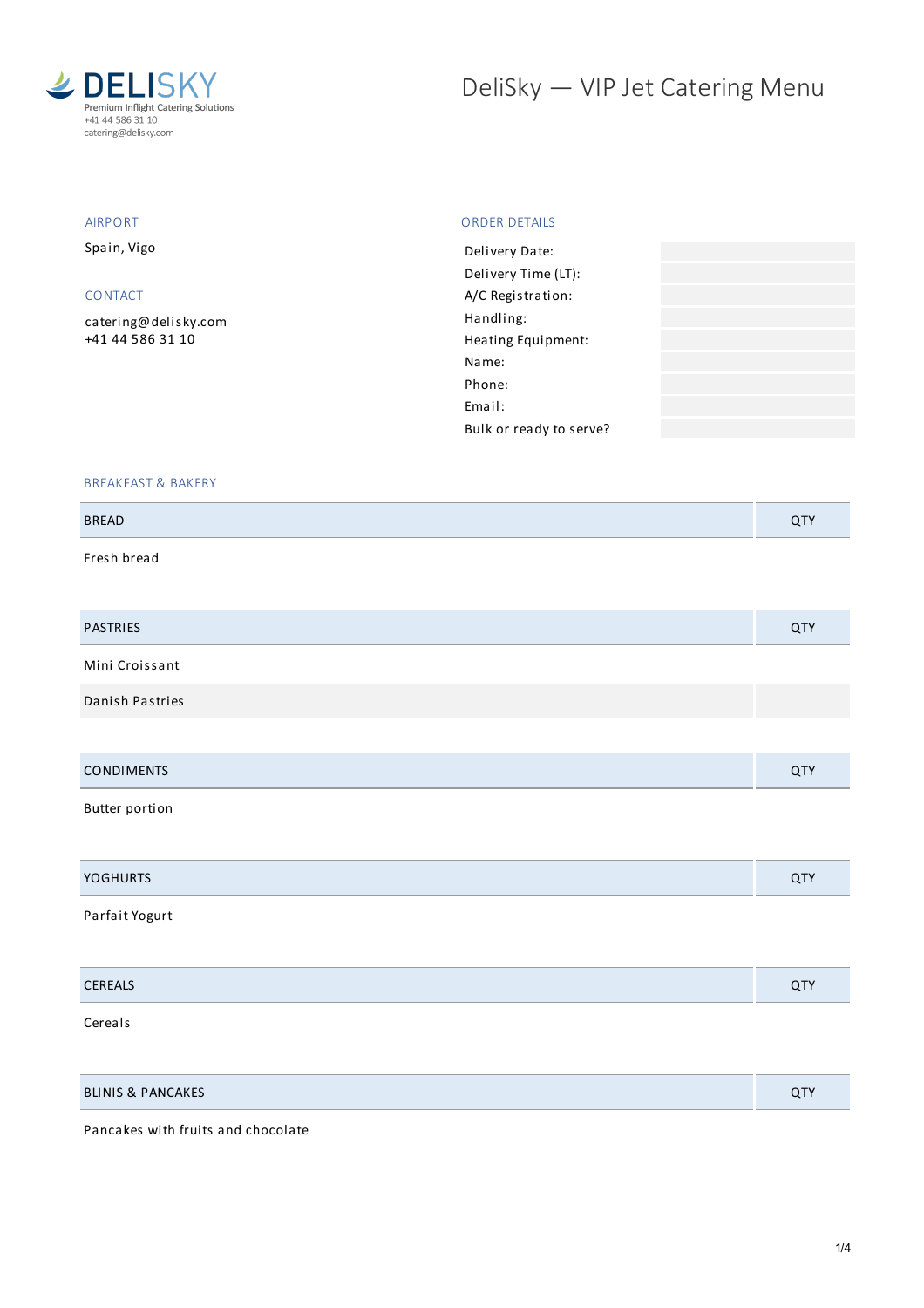

# DeliSky - VIP Jet Catering Menu

## AIRPORT

Spain, Vigo

#### CONTACT

[catering@delisky.com](mailto:catering@delisky.com) +41 44 586 31 10

#### ORDER DETAILS

| Delivery Date:          |  |
|-------------------------|--|
| Delivery Time (LT):     |  |
| A/C Registration:       |  |
| Handling:               |  |
| Heating Equipment:      |  |
| Name:                   |  |
| Phone:                  |  |
| Email:                  |  |
| Bulk or ready to serve? |  |
|                         |  |

#### BREAKFAST & BAKERY

| <b>BREAD</b> | . .<br>$\sim$ |
|--------------|---------------|
|              |               |

Fresh bread

| <b>PASTRIES</b>   | QTY |
|-------------------|-----|
| Mini Croissant    |     |
| Danish Pastries   |     |
|                   |     |
| <b>CONDIMENTS</b> | QTY |

Butter portion

| <b>YOGHURTS</b> | $\sim$ |
|-----------------|--------|
|                 |        |

# Parfait Yogurt

| CEDEAIC<br><b>CEREALS</b> |  |
|---------------------------|--|
|                           |  |

Cereals

| <b>BLINIS &amp; PANCAKES</b> | $\cap$ TV<br>$\sim$ |
|------------------------------|---------------------|
|------------------------------|---------------------|

Pancakes with fruits and chocolate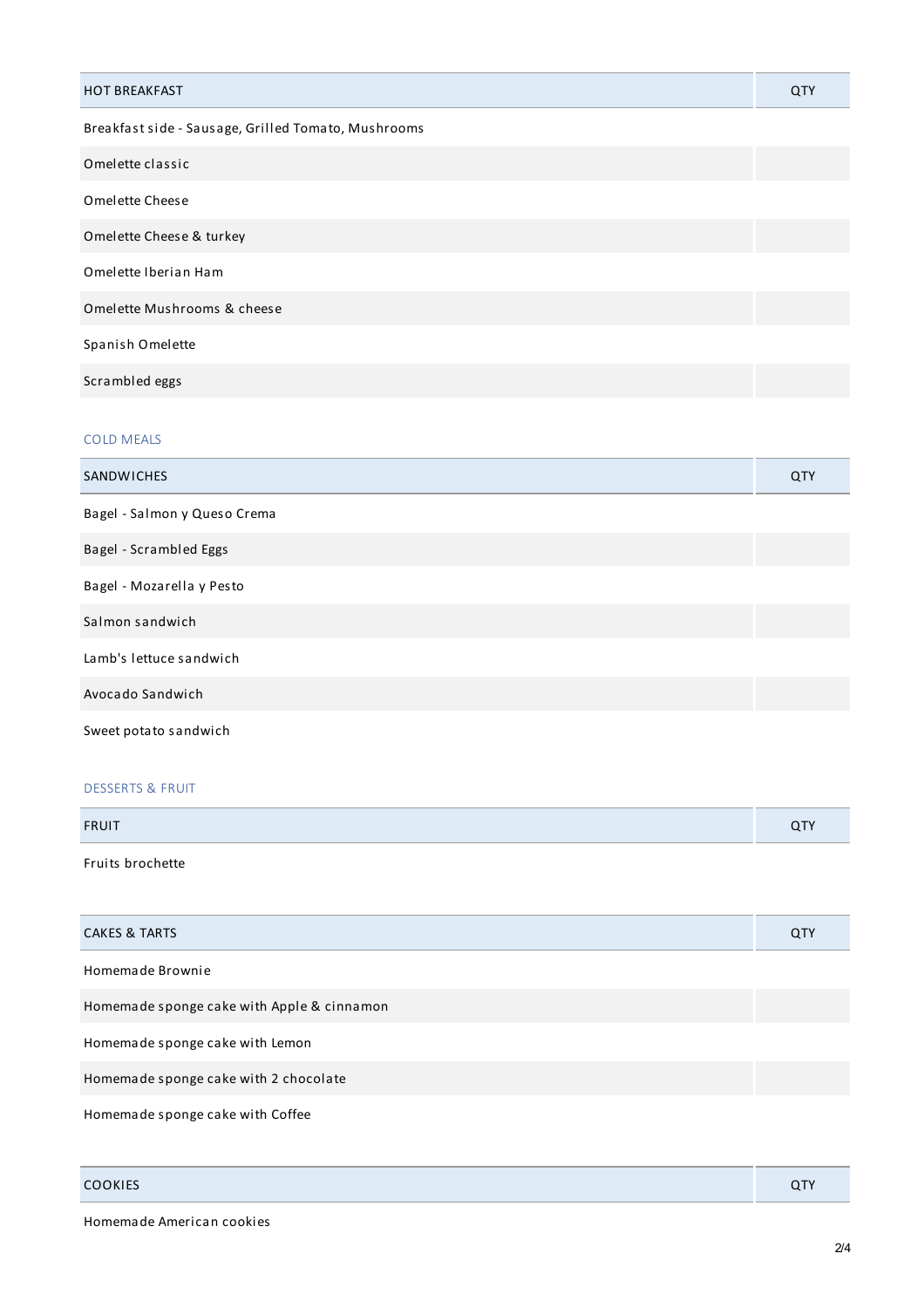| <b>HOT BREAKFAST</b>                                | QTY |
|-----------------------------------------------------|-----|
| Breakfast side - Sausage, Grilled Tomato, Mushrooms |     |
| Omelette classic                                    |     |
| Omelette Cheese                                     |     |
| Omelette Cheese & turkey                            |     |
| Omelette Iberian Ham                                |     |
| Omelette Mushrooms & cheese                         |     |
| Spanish Omelette                                    |     |
| Scrambled eggs                                      |     |
|                                                     |     |

# COLD MEALS

| SANDWICHES                   | QTY |
|------------------------------|-----|
| Bagel - Salmon y Queso Crema |     |
| Bagel - Scrambled Eggs       |     |
| Bagel - Mozarella y Pesto    |     |
| Salmon sandwich              |     |
| Lamb's lettuce sandwich      |     |
| Avocado Sandwich             |     |
| Sweet potato sandwich        |     |

## DESSERTS & FRUIT

| <b>FRUIT</b>     | $\sim$ $-$<br><b>u</b> |
|------------------|------------------------|
| Fruits brochette |                        |

| <b>CAKES &amp; TARTS</b>                   | <b>QTY</b> |
|--------------------------------------------|------------|
| Homemade Brownie                           |            |
| Homemade sponge cake with Apple & cinnamon |            |
| Homemade sponge cake with Lemon            |            |
| Homemade sponge cake with 2 chocolate      |            |
| Homemade sponge cake with Coffee           |            |

| <b>COOKIES</b> | u. |
|----------------|----|
|                |    |

Homemade American cookies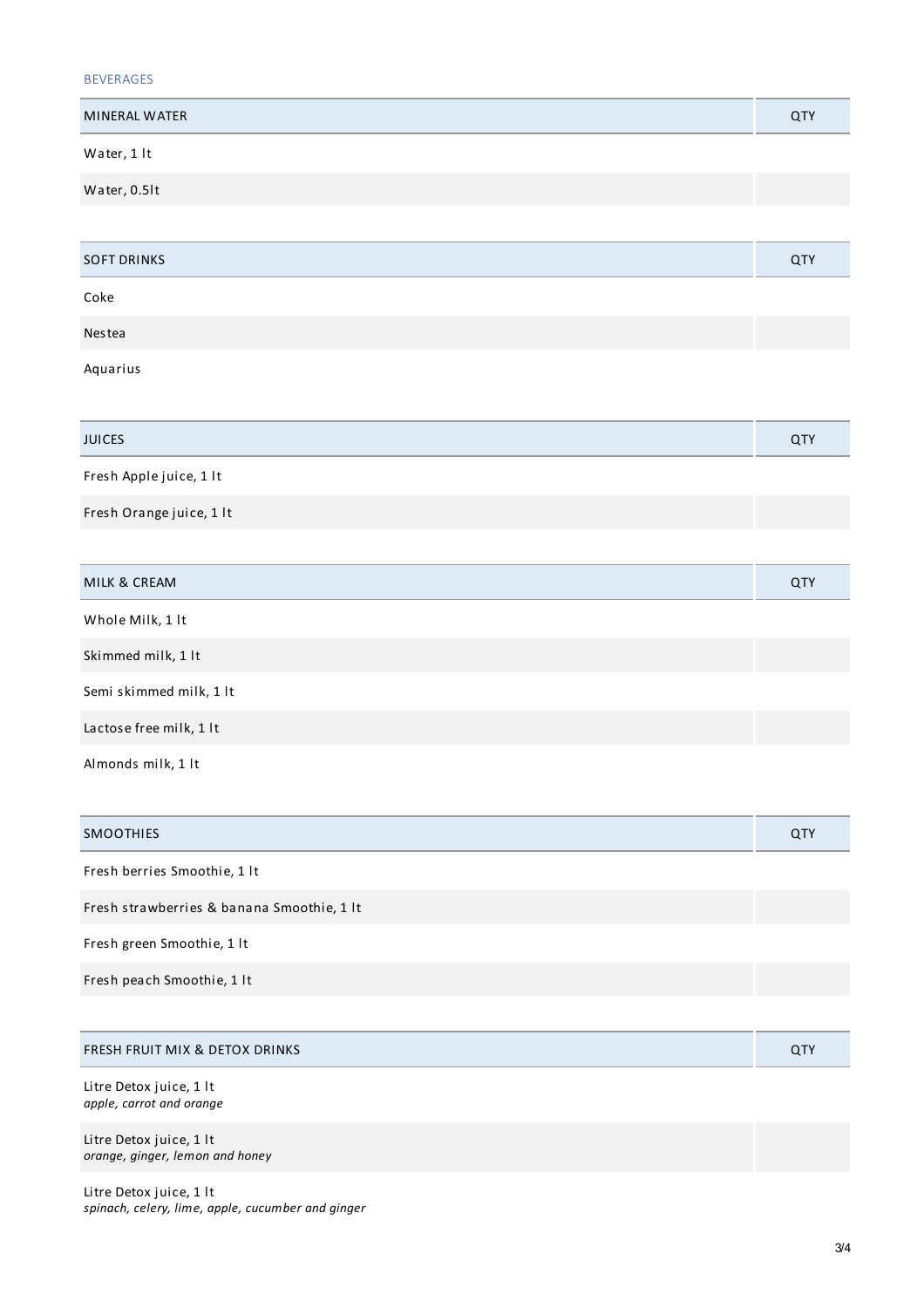| 'FRAG |
|-------|
|-------|

| <b>MINERAL WATER</b> | QTY |
|----------------------|-----|
| Water, 1 lt          |     |
| Water, 0.5lt         |     |
|                      |     |
| <b>SOFT DRINKS</b>   | QTY |
| Coke                 |     |

Nestea

Aquarius

| <b>JUICES</b>            | QTY |
|--------------------------|-----|
| Fresh Apple juice, 1 lt  |     |
| Fresh Orange juice, 1 lt |     |
|                          |     |

| MILK & CREAM            | <b>QTY</b> |
|-------------------------|------------|
| Whole Milk, 1 lt        |            |
| Skimmed milk, 1 lt      |            |
| Semi skimmed milk, 1 lt |            |
| Lactose free milk, 1 lt |            |
| Almonds milk, 1 lt      |            |

| <b>SMOOTHIES</b>                           | <b>QTY</b> |
|--------------------------------------------|------------|
| Fresh berries Smoothie, 1 lt               |            |
| Fresh strawberries & banana Smoothie, 1 lt |            |
| Fresh green Smoothie, 1 lt                 |            |
| Fresh peach Smoothie, 1 lt                 |            |
|                                            |            |

| <b>FRESH FRUIT MIX &amp; DETOX DRINKS</b>                  | <b>QTY</b> |
|------------------------------------------------------------|------------|
| Litre Detox juice, 1 lt<br>apple, carrot and orange        |            |
| Litre Detox juice, 1 lt<br>orange, ginger, lemon and honey |            |

Litre Detox juice, 1 lt *spinach, celery, lime, apple, cucumber and ginger*